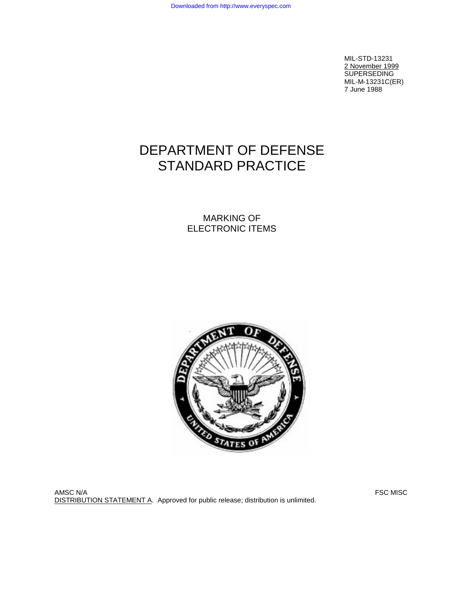MIL-STD-13231 2 November 1999 SUPERSEDING MIL-M-13231C(ER) 7 June 1988

# DEPARTMENT OF DEFENSE STANDARD PRACTICE

MARKING OF ELECTRONIC ITEMS



AMSC N/A FSC MISC NOT RELEASED AND RELEASED AT A RELEASED AND RELEASED AT A RELEASED AND RELEASED AT A RELEASE DISTRIBUTION STATEMENT A. Approved for public release; distribution is unlimited.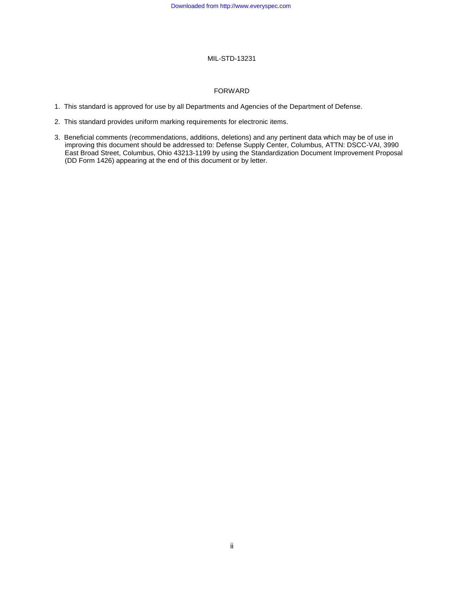#### FORWARD

- 1. This standard is approved for use by all Departments and Agencies of the Department of Defense.
- 2. This standard provides uniform marking requirements for electronic items.
- 3. Beneficial comments (recommendations, additions, deletions) and any pertinent data which may be of use in improving this document should be addressed to: Defense Supply Center, Columbus, ATTN: DSCC-VAI, 3990 East Broad Street, Columbus, Ohio 43213-1199 by using the Standardization Document Improvement Proposal (DD Form 1426) appearing at the end of this document or by letter.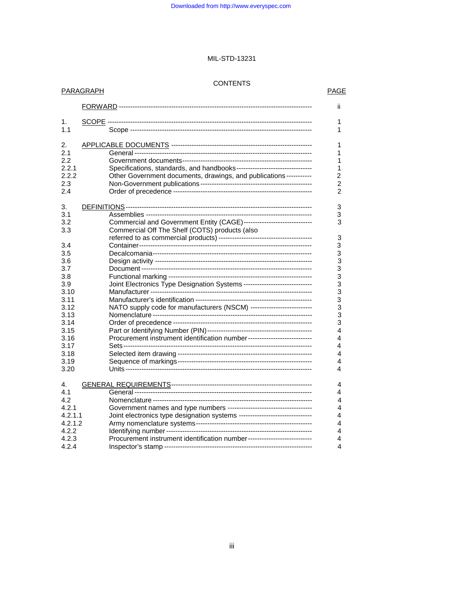# CONTENTS

| <b>CONTENTS</b><br>PAGE |           |                                                                             |                |  |
|-------------------------|-----------|-----------------------------------------------------------------------------|----------------|--|
|                         | PARAGRAPH |                                                                             |                |  |
|                         |           |                                                                             | ii.            |  |
|                         |           |                                                                             |                |  |
| 1.                      |           |                                                                             | 1              |  |
| 1.1                     |           |                                                                             | 1              |  |
|                         |           |                                                                             | 1              |  |
| 2.<br>2.1               |           |                                                                             | 1              |  |
|                         |           |                                                                             |                |  |
| 2.2                     |           |                                                                             | 1              |  |
| 2.2.1                   |           | Specifications, standards, and handbooks---------------------------------   | 1              |  |
| 2.2.2                   |           | Other Government documents, drawings, and publications -----------          | 2              |  |
| 2.3                     |           |                                                                             | $\overline{2}$ |  |
| 2.4                     |           |                                                                             | $\overline{2}$ |  |
| 3.                      |           |                                                                             | 3              |  |
| 3.1                     |           |                                                                             | 3              |  |
| 3.2                     |           | Commercial and Government Entity (CAGE)------------------------------       | 3              |  |
| 3.3                     |           | Commercial Off The Shelf (COTS) products (also                              |                |  |
|                         |           |                                                                             | 3              |  |
| 3.4                     |           |                                                                             | 3              |  |
| 3.5                     |           |                                                                             | 3              |  |
| 3.6                     |           |                                                                             | 3              |  |
| 3.7                     |           |                                                                             | 3              |  |
| 3.8                     |           |                                                                             | 3              |  |
| 3.9                     |           | Joint Electronics Type Designation Systems ------------------------------   | 3              |  |
| 3.10                    |           |                                                                             | 3              |  |
| 3.11                    |           |                                                                             | 3              |  |
| 3.12                    |           | NATO supply code for manufacturers (NSCM) ---------------------------       | 3              |  |
|                         |           |                                                                             | 3              |  |
| 3.13                    |           |                                                                             |                |  |
| 3.14                    |           |                                                                             | 3              |  |
| 3.15                    |           |                                                                             | 4              |  |
| 3.16                    |           | Procurement instrument identification number----------------------------    | 4              |  |
| 3.17                    |           |                                                                             | 4              |  |
| 3.18                    |           |                                                                             | 4              |  |
| 3.19                    |           |                                                                             | 4              |  |
| 3.20                    |           |                                                                             | 4              |  |
| 4.                      |           |                                                                             | 4              |  |
| 4.1                     |           |                                                                             | 4              |  |
| 4.2                     |           |                                                                             | 4              |  |
| 4.2.1                   |           |                                                                             | 4              |  |
| 4.2.1.1                 |           | Joint electronics type designation systems -------------------------------- | 4              |  |
| 4.2.1.2                 |           |                                                                             | 4              |  |
| 4.2.2                   |           |                                                                             | 4              |  |
| 4.2.3                   |           | Procurement instrument identification number----------------------------    | 4              |  |
| 4.2.4                   |           |                                                                             | 4              |  |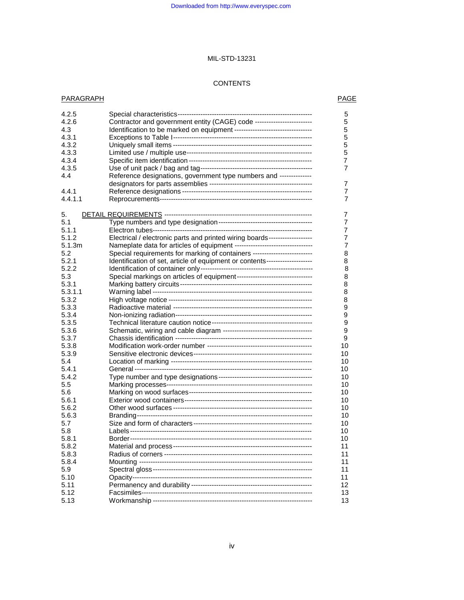### CONTENTS

# PARAGRAPH PARAGRAPH

| 4.2.5   |                                                                             | 5              |
|---------|-----------------------------------------------------------------------------|----------------|
| 4.2.6   | Contractor and government entity (CAGE) code ------------------------       | 5              |
| 4.3     |                                                                             | 5              |
| 4.3.1   |                                                                             | 5              |
| 4.3.2   |                                                                             | 5              |
| 4.3.3   |                                                                             | 5              |
| 4.3.4   |                                                                             | $\overline{7}$ |
| 4.3.5   |                                                                             | 7              |
| 4.4     | Reference designations, government type numbers and --------------          |                |
|         |                                                                             | 7              |
| 4.4.1   |                                                                             | 7              |
| 4.4.1.1 |                                                                             | 7              |
| 5.      |                                                                             | 7              |
| 5.1     |                                                                             | 7              |
| 5.1.1   |                                                                             | 7              |
| 5.1.2   | Electrical / electronic parts and printed wiring boards-------------------  | 7              |
| 5.1.3m  | Nameplate data for articles of equipment ---------------------------------- | 7              |
| 5.2     | Special requirements for marking of containers --------------------------   | 8              |
| 5.2.1   | Identification of set, article of equipment or contents-------------------- | 8              |
| 5.2.2   |                                                                             | 8              |
| 5.3     | Special markings on articles of equipment---------------------------------  | 8              |
| 5.3.1   |                                                                             | 8              |
| 5.3.1.1 |                                                                             | 8              |
| 5.3.2   |                                                                             | 8              |
| 5.3.3   |                                                                             | 9              |
| 5.3.4   |                                                                             | 9              |
| 5.3.5   |                                                                             | 9              |
| 5.3.6   |                                                                             | 9              |
| 5.3.7   |                                                                             | 9              |
| 5.3.8   |                                                                             | 10             |
| 5.3.9   |                                                                             | 10             |
| 5.4     |                                                                             | 10             |
| 5.4.1   |                                                                             | 10             |
| 5.4.2   |                                                                             | 10             |
| 5.5     |                                                                             | 10             |
| 5.6     |                                                                             | 10             |
| 5.6.1   |                                                                             | 10             |
| 5.6.2   |                                                                             | 10             |
| 5.6.3   |                                                                             | 10             |
| 5.7     |                                                                             | 10             |
| 5.8     |                                                                             | 10             |
| 5.8.1   |                                                                             | 10             |
| 5.8.2   |                                                                             | 11             |
| 5.8.3   |                                                                             | 11             |
| 5.8.4   |                                                                             | 11             |
| 5.9     |                                                                             | 11             |
| 5.10    |                                                                             | 11             |
| 5.11    |                                                                             | 12             |
| 5.12    |                                                                             | 13             |
| 5.13    |                                                                             | 13             |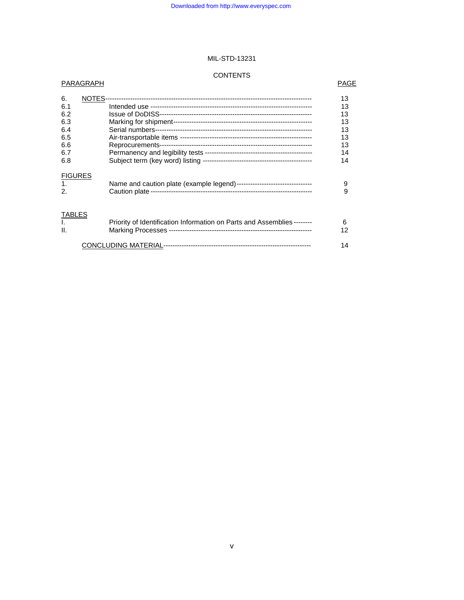# **CONTENTS**

# PARAGRAPH PARAGRAPH

| 6.                         |                                                                         | 13      |
|----------------------------|-------------------------------------------------------------------------|---------|
| 6.1                        |                                                                         | 13      |
| 6.2                        |                                                                         | 13      |
| 6.3                        |                                                                         | 13      |
| 6.4                        |                                                                         | 13      |
| 6.5                        |                                                                         | 13      |
| 6.6                        |                                                                         | 13      |
| 6.7                        |                                                                         | 14      |
| 6.8                        |                                                                         | 14      |
| <b>FIGURES</b><br>1.<br>2. |                                                                         | 9<br>9  |
| <b>TABLES</b><br>Ш.        | Priority of Identification Information on Parts and Assemblies -------- | 6<br>12 |
|                            |                                                                         | 14      |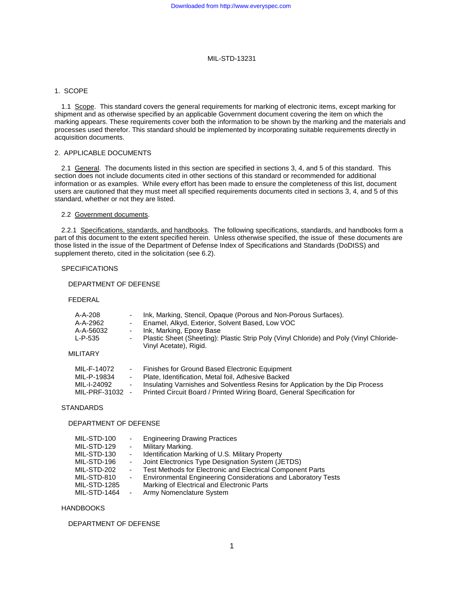#### 1. SCOPE

1.1 Scope. This standard covers the general requirements for marking of electronic items, except marking for shipment and as otherwise specified by an applicable Government document covering the item on which the marking appears. These requirements cover both the information to be shown by the marking and the materials and processes used therefor. This standard should be implemented by incorporating suitable requirements directly in acquisition documents.

#### 2. APPLICABLE DOCUMENTS

2.1 General. The documents listed in this section are specified in sections 3, 4, and 5 of this standard. This section does not include documents cited in other sections of this standard or recommended for additional information or as examples. While every effort has been made to ensure the completeness of this list, document users are cautioned that they must meet all specified requirements documents cited in sections 3, 4, and 5 of this standard, whether or not they are listed.

#### 2.2 Government documents.

2.2.1 Specifications, standards, and handbooks. The following specifications, standards, and handbooks form a part of this document to the extent specified herein. Unless otherwise specified, the issue of these documents are those listed in the issue of the Department of Defense Index of Specifications and Standards (DoDISS) and supplement thereto, cited in the solicitation (see 6.2).

#### **SPECIFICATIONS**

#### DEPARTMENT OF DEFENSE

#### FEDERAL

| A-A-208   | - Ink, Marking, Stencil, Opaque (Porous and Non-Porous Surfaces).                         |
|-----------|-------------------------------------------------------------------------------------------|
| A-A-2962  | - Enamel, Alkyd, Exterior, Solvent Based, Low VOC                                         |
| A-A-56032 | - Ink, Marking, Epoxy Base                                                                |
| L-P-535   | - Plastic Sheet (Sheeting): Plastic Strip Poly (Vinyl Chloride) and Poly (Vinyl Chloride- |
|           | Vinyl Acetate), Rigid.                                                                    |
| 1ILITARY  |                                                                                           |

#### $\mathsf{N}$

| MIL-F-14072   |                  | - Finishes for Ground Based Electronic Equipment                               |
|---------------|------------------|--------------------------------------------------------------------------------|
| MIL-P-19834   |                  | - Plate, Identification, Metal foil, Adhesive Backed                           |
| MIL-I-24092   | $\sim$ 100 $\mu$ | Insulating Varnishes and Solventless Resins for Application by the Dip Process |
| MIL-PRF-31032 |                  | Printed Circuit Board / Printed Wiring Board, General Specification for        |

#### **STANDARDS**

#### DEPARTMENT OF DEFENSE

| MIL-STD-100<br>MIL-STD-129         | $\sim 100$<br>$\sim 100$ | <b>Engineering Drawing Practices</b><br>Military Marking.                                                          |
|------------------------------------|--------------------------|--------------------------------------------------------------------------------------------------------------------|
| MIL-STD-130<br>MIL-STD-196         | $\sim$<br>$\sim$         | Identification Marking of U.S. Military Property<br>Joint Electronics Type Designation System (JETDS)              |
| MIL-STD-202                        | $\sim 100$               | Test Methods for Electronic and Electrical Component Parts                                                         |
| MIL-STD-810<br><b>MIL-STD-1285</b> | $\sim$                   | <b>Environmental Engineering Considerations and Laboratory Tests</b><br>Marking of Electrical and Electronic Parts |
| MIL-STD-1464                       | $\sim 100$               | Army Nomenclature System                                                                                           |

#### HANDBOOKS

#### DEPARTMENT OF DEFENSE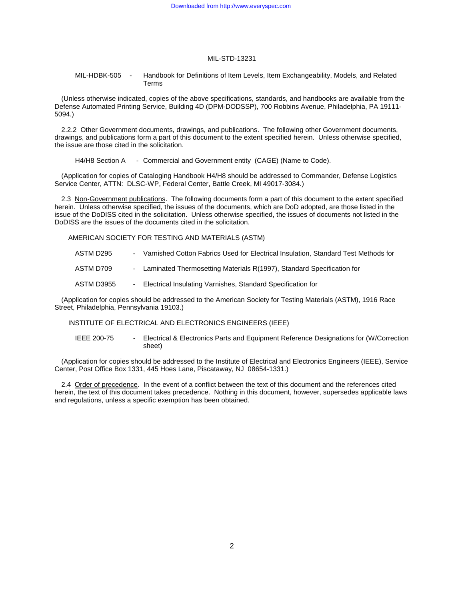#### MIL-HDBK-505 - Handbook for Definitions of Item Levels, Item Exchangeability, Models, and Related Terms

(Unless otherwise indicated, copies of the above specifications, standards, and handbooks are available from the Defense Automated Printing Service, Building 4D (DPM-DODSSP), 700 Robbins Avenue, Philadelphia, PA 19111- 5094.)

2.2.2 Other Government documents, drawings, and publications. The following other Government documents, drawings, and publications form a part of this document to the extent specified herein. Unless otherwise specified, the issue are those cited in the solicitation.

H4/H8 Section A - Commercial and Government entity (CAGE) (Name to Code).

(Application for copies of Cataloging Handbook H4/H8 should be addressed to Commander, Defense Logistics Service Center, ATTN: DLSC-WP, Federal Center, Battle Creek, MI 49017-3084.)

2.3 Non-Government publications. The following documents form a part of this document to the extent specified herein. Unless otherwise specified, the issues of the documents, which are DoD adopted, are those listed in the issue of the DoDISS cited in the solicitation. Unless otherwise specified, the issues of documents not listed in the DoDISS are the issues of the documents cited in the solicitation.

AMERICAN SOCIETY FOR TESTING AND MATERIALS (ASTM)

ASTM D295 - Varnished Cotton Fabrics Used for Electrical Insulation, Standard Test Methods for

ASTM D709 - Laminated Thermosetting Materials R(1997), Standard Specification for

ASTM D3955 - Electrical Insulating Varnishes, Standard Specification for

(Application for copies should be addressed to the American Society for Testing Materials (ASTM), 1916 Race Street, Philadelphia, Pennsylvania 19103.)

#### INSTITUTE OF ELECTRICAL AND ELECTRONICS ENGINEERS (IEEE)

IEEE 200-75 - Electrical & Electronics Parts and Equipment Reference Designations for (W/Correction sheet)

(Application for copies should be addressed to the Institute of Electrical and Electronics Engineers (IEEE), Service Center, Post Office Box 1331, 445 Hoes Lane, Piscataway, NJ 08654-1331.)

2.4 Order of precedence. In the event of a conflict between the text of this document and the references cited herein, the text of this document takes precedence. Nothing in this document, however, supersedes applicable laws and regulations, unless a specific exemption has been obtained.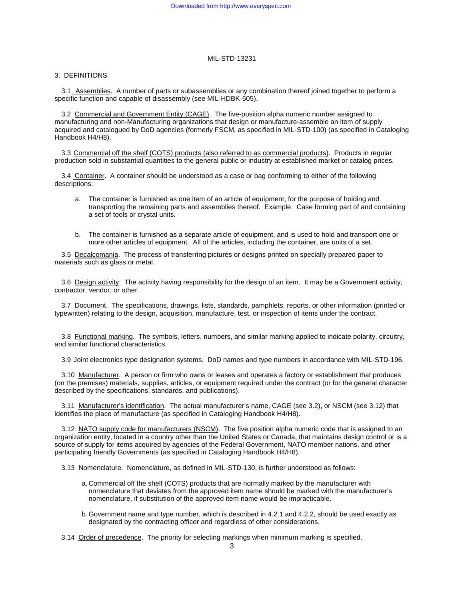#### 3. DEFINITIONS

3.1 Assemblies. A number of parts or subassemblies or any combination thereof joined together to perform a specific function and capable of disassembly (see MIL-HDBK-505).

3.2 Commercial and Government Entity (CAGE). The five-position alpha numeric number assigned to manufacturing and non-Manufacturing organizations that design or manufacture-assemble an item of supply acquired and catalogued by DoD agencies (formerly FSCM, as specified in MIL-STD-100) (as specified in Cataloging Handbook H4/H8).

3.3 Commercial off the shelf (COTS) products (also referred to as commercial products). Products in regular production sold in substantial quantities to the general public or industry at established market or catalog prices.

3.4 Container. A container should be understood as a case or bag conforming to either of the following descriptions:

- a. The container is furnished as one item of an article of equipment, for the purpose of holding and transporting the remaining parts and assemblies thereof. Example: Case forming part of and containing a set of tools or crystal units.
- b. The container is furnished as a separate article of equipment, and is used to hold and transport one or more other articles of equipment. All of the articles, including the container, are units of a set.

3.5 Decalcomania. The process of transferring pictures or designs printed on specially prepared paper to materials such as glass or metal.

3.6 Design activity. The activity having responsibility for the design of an item. It may be a Government activity, contractor, vendor, or other.

3.7 Document. The specifications, drawings, lists, standards, pamphlets, reports, or other information (printed or typewritten) relating to the design, acquisition, manufacture, test, or inspection of items under the contract.

3.8 Functional marking. The symbols, letters, numbers, and similar marking applied to indicate polarity, circuitry, and similar functional characteristics.

3.9 Joint electronics type designation systems. DoD names and type numbers in accordance with MIL-STD-196.

3.10 Manufacturer. A person or firm who owns or leases and operates a factory or establishment that produces (on the premises) materials, supplies, articles, or equipment required under the contract (or for the general character described by the specifications, standards, and publications).

3.11 Manufacturer's identification. The actual manufacturer's name, CAGE (see 3.2), or NSCM (see 3.12) that identifies the place of manufacture (as specified in Cataloging Handbook H4/H8).

3.12 NATO supply code for manufacturers (NSCM). The five position alpha numeric code that is assigned to an organization entity, located in a country other than the United States or Canada, that maintains design control or is a source of supply for items acquired by agencies of the Federal Government, NATO member nations, and other participating friendly Governments (as specified in Cataloging Handbook H4/H8).

3.13 Nomenclature. Nomenclature, as defined in MIL-STD-130, is further understood as follows:

- a. Commercial off the shelf (COTS) products that are normally marked by the manufacturer with nomenclature that deviates from the approved item name should be marked with the manufacturer's nomenclature, if substitution of the approved item name would be impracticable.
- b. Government name and type number, which is described in 4.2.1 and 4.2.2, should be used exactly as designated by the contracting officer and regardless of other considerations.

3.14 Order of precedence. The priority for selecting markings when minimum marking is specified.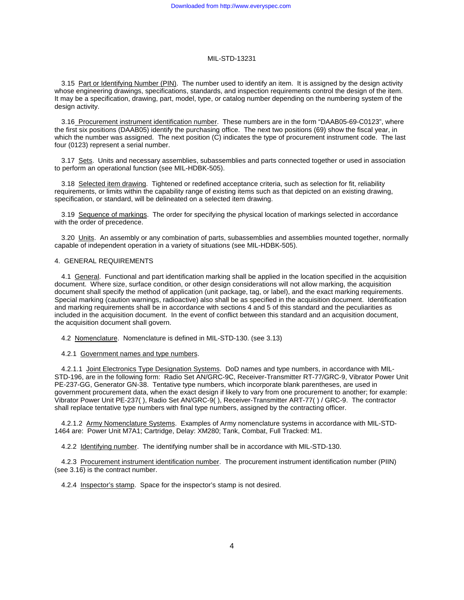3.15 Part or Identifying Number (PIN). The number used to identify an item. It is assigned by the design activity whose engineering drawings, specifications, standards, and inspection requirements control the design of the item. It may be a specification, drawing, part, model, type, or catalog number depending on the numbering system of the design activity.

3.16 Procurement instrument identification number. These numbers are in the form "DAAB05-69-C0123", where the first six positions (DAAB05) identify the purchasing office. The next two positions (69) show the fiscal year, in which the number was assigned. The next position  $(\tilde{C})$  indicates the type of procurement instrument code. The last four (0123) represent a serial number.

3.17 Sets. Units and necessary assemblies, subassemblies and parts connected together or used in association to perform an operational function (see MIL-HDBK-505).

3.18 Selected item drawing. Tightened or redefined acceptance criteria, such as selection for fit, reliability requirements, or limits within the capability range of existing items such as that depicted on an existing drawing, specification, or standard, will be delineated on a selected item drawing.

3.19 Sequence of markings. The order for specifying the physical location of markings selected in accordance with the order of precedence.

3.20 Units. An assembly or any combination of parts, subassemblies and assemblies mounted together, normally capable of independent operation in a variety of situations (see MIL-HDBK-505).

#### 4. GENERAL REQUIREMENTS

4.1 General. Functional and part identification marking shall be applied in the location specified in the acquisition document. Where size, surface condition, or other design considerations will not allow marking, the acquisition document shall specify the method of application (unit package, tag, or label), and the exact marking requirements. Special marking (caution warnings, radioactive) also shall be as specified in the acquisition document. Identification and marking requirements shall be in accordance with sections 4 and 5 of this standard and the peculiarities as included in the acquisition document. In the event of conflict between this standard and an acquisition document, the acquisition document shall govern.

4.2 Nomenclature. Nomenclature is defined in MIL-STD-130. (see 3.13)

4.2.1 Government names and type numbers.

4.2.1.1 Joint Electronics Type Designation Systems. DoD names and type numbers, in accordance with MIL-STD-196, are in the following form: Radio Set AN/GRC-9C, Receiver-Transmitter RT-77/GRC-9, Vibrator Power Unit PE-237-GG, Generator GN-38. Tentative type numbers, which incorporate blank parentheses, are used in government procurement data, when the exact design if likely to vary from one procurement to another; for example: Vibrator Power Unit PE-237( ), Radio Set AN/GRC-9( ), Receiver-Transmitter ART-77( ) / GRC-9. The contractor shall replace tentative type numbers with final type numbers, assigned by the contracting officer.

4.2.1.2 Army Nomenclature Systems. Examples of Army nomenclature systems in accordance with MIL-STD-1464 are: Power Unit M7A1; Cartridge, Delay: XM280; Tank, Combat, Full Tracked: M1.

4.2.2 Identifying number. The identifying number shall be in accordance with MIL-STD-130.

4.2.3 Procurement instrument identification number. The procurement instrument identification number (PIIN) (see 3.16) is the contract number.

4.2.4 Inspector's stamp. Space for the inspector's stamp is not desired.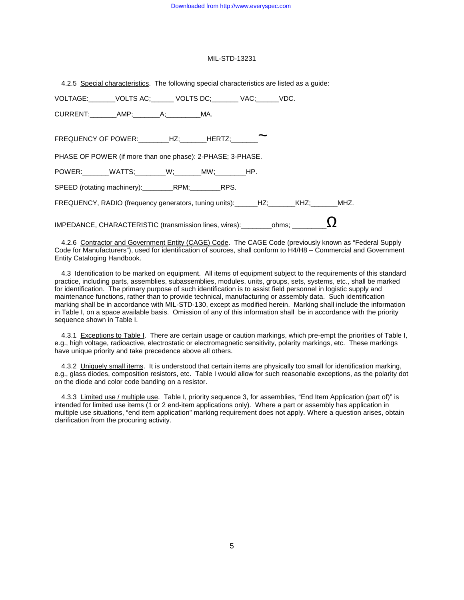4.2.5 Special characteristics. The following special characteristics are listed as a guide:

VOLTAGE:\_\_\_\_\_\_\_VOLTS AC;\_\_\_\_\_\_ VOLTS DC;\_\_\_\_\_\_\_ VAC;\_\_\_\_\_\_VDC. CURRENT:\_\_\_\_\_\_\_AMP;\_\_\_\_\_\_\_A;\_\_\_\_\_\_\_\_\_MA. FREQUENCY OF POWER: \_\_\_\_\_\_\_\_HZ; \_\_\_\_\_\_HERTZ; \_\_\_\_\_\_\_\_ ~ PHASE OF POWER (if more than one phase): 2-PHASE; 3-PHASE. POWER: WATTS; W; MW; HP. SPEED (rotating machinery): \_\_\_\_\_\_\_\_\_RPM; \_\_\_\_\_\_\_\_\_RPS. FREQUENCY, RADIO (frequency generators, tuning units):\_\_\_\_\_\_HZ;\_\_\_\_\_\_\_KHZ;\_\_\_\_\_\_\_MHZ. IMPEDANCE, CHARACTERISTIC (transmission lines, wires): \_\_\_\_\_\_\_\_\_ohms:  $\Omega$ 

4.2.6 Contractor and Government Entity (CAGE) Code. The CAGE Code (previously known as "Federal Supply Code for Manufacturers"), used for identification of sources, shall conform to H4/H8 – Commercial and Government Entity Cataloging Handbook.

4.3 Identification to be marked on equipment. All items of equipment subject to the requirements of this standard practice, including parts, assemblies, subassemblies, modules, units, groups, sets, systems, etc., shall be marked for identification. The primary purpose of such identification is to assist field personnel in logistic supply and maintenance functions, rather than to provide technical, manufacturing or assembly data. Such identification marking shall be in accordance with MIL-STD-130, except as modified herein. Marking shall include the information in Table I, on a space available basis. Omission of any of this information shall be in accordance with the priority sequence shown in Table I.

4.3.1 Exceptions to Table I. There are certain usage or caution markings, which pre-empt the priorities of Table I, e.g., high voltage, radioactive, electrostatic or electromagnetic sensitivity, polarity markings, etc. These markings have unique priority and take precedence above all others.

4.3.2 Uniquely small items. It is understood that certain items are physically too small for identification marking, e.g., glass diodes, composition resistors, etc. Table I would allow for such reasonable exceptions, as the polarity dot on the diode and color code banding on a resistor.

4.3.3 Limited use / multiple use. Table I, priority sequence 3, for assemblies, "End Item Application (part of)" is intended for limited use items (1 or 2 end-item applications only). Where a part or assembly has application in multiple use situations, "end item application" marking requirement does not apply. Where a question arises, obtain clarification from the procuring activity.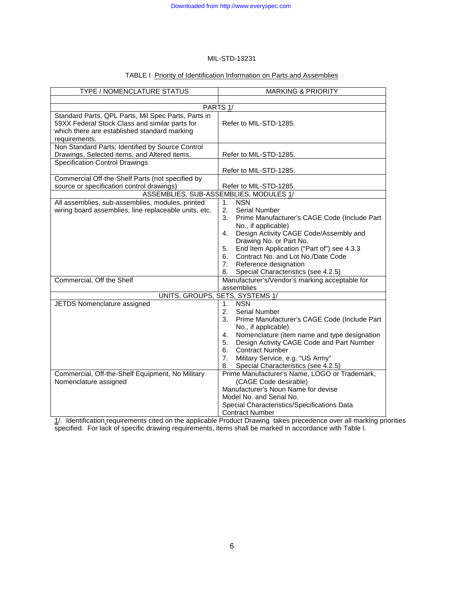# TABLE I Priority of Identification Information on Parts and Assemblies

| TYPE / NOMENCLATURE STATUS                                                                                                                                             | <b>MARKING &amp; PRIORITY</b>                                                                                                                                                                                                                                                                                                                                                      |  |
|------------------------------------------------------------------------------------------------------------------------------------------------------------------------|------------------------------------------------------------------------------------------------------------------------------------------------------------------------------------------------------------------------------------------------------------------------------------------------------------------------------------------------------------------------------------|--|
|                                                                                                                                                                        |                                                                                                                                                                                                                                                                                                                                                                                    |  |
|                                                                                                                                                                        | PARTS <sub>1</sub> /                                                                                                                                                                                                                                                                                                                                                               |  |
| Standard Parts, QPL Parts, Mil Spec Parts, Parts in<br>59XX Federal Stock Class and similar parts for<br>which there are established standard marking<br>requirements. | Refer to MIL-STD-1285.                                                                                                                                                                                                                                                                                                                                                             |  |
| Non Standard Parts; Identified by Source Control<br>Drawings, Selected items, and Altered items.                                                                       | Refer to MIL-STD-1285.                                                                                                                                                                                                                                                                                                                                                             |  |
| <b>Specification Control Drawings</b>                                                                                                                                  | Refer to MIL-STD-1285.                                                                                                                                                                                                                                                                                                                                                             |  |
| Commercial Off-the-Shelf Parts (not specified by                                                                                                                       |                                                                                                                                                                                                                                                                                                                                                                                    |  |
| source or specification control drawings)                                                                                                                              | Refer to MIL-STD-1285.                                                                                                                                                                                                                                                                                                                                                             |  |
|                                                                                                                                                                        | ASSEMBLIES, SUB-ASSEMBLIES, MODULES 1/                                                                                                                                                                                                                                                                                                                                             |  |
| All assemblies, sub-assemblies, modules, printed<br>wiring board assemblies, line replaceable units, etc.                                                              | <b>NSN</b><br>1.<br>2.<br><b>Serial Number</b><br>3.<br>Prime Manufacturer's CAGE Code (Include Part<br>No., if applicable)<br>Design Activity CAGE Code/Assembly and<br>4.<br>Drawing No. or Part No.<br>End Item Application ("Part of") see 4.3.3<br>5.<br>Contract No. and Lot No./Date Code<br>6.<br>Reference designation<br>7.<br>Special Characteristics (see 4.2.5)<br>8. |  |
| Commercial, Off the Shelf                                                                                                                                              | Manufacturer's/Vendor's marking acceptable for<br>assemblies                                                                                                                                                                                                                                                                                                                       |  |
|                                                                                                                                                                        | UNITS, GROUPS, SETS, SYSTEMS 1/                                                                                                                                                                                                                                                                                                                                                    |  |
| JETDS Nomenclature assigned                                                                                                                                            | 1. NSN<br>2.<br>Serial Number<br>Prime Manufacturer's CAGE Code (Include Part<br>3.<br>No., if applicable)<br>Nomenclature (item name and type designation<br>4.<br>Design Activity CAGE Code and Part Number<br>5.<br><b>Contract Number</b><br>6.<br>Military Service, e.g. "US Army"<br>7.<br>Special Characteristics (see 4.2.5)<br>8.                                         |  |
| Commercial, Off-the-Shelf Equipment, No Military<br>Nomenclature assigned                                                                                              | Prime Manufacturer's Name, LOGO or Trademark,<br>(CAGE Code desirable)<br>Manufacturer's Noun Name for devise<br>Model No. and Serial No.<br>Special Characteristics/Specifications Data<br><b>Contract Number</b>                                                                                                                                                                 |  |

1/. Identification requirements cited on the applicable Product Drawing takes precedence over all marking priorities specified. For lack of specific drawing requirements, items shall be marked in accordance with Table I.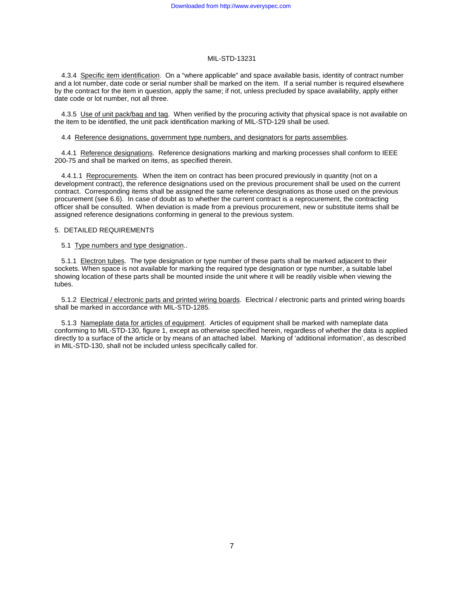4.3.4 Specific item identification. On a "where applicable" and space available basis, identity of contract number and a lot number, date code or serial number shall be marked on the item. If a serial number is required elsewhere by the contract for the item in question, apply the same; if not, unless precluded by space availability, apply either date code or lot number, not all three.

4.3.5 Use of unit pack/bag and tag. When verified by the procuring activity that physical space is not available on the item to be identified, the unit pack identification marking of MIL-STD-129 shall be used.

4.4 Reference designations, government type numbers, and designators for parts assemblies.

4.4.1 Reference designations. Reference designations marking and marking processes shall conform to IEEE 200-75 and shall be marked on items, as specified therein.

4.4.1.1 Reprocurements. When the item on contract has been procured previously in quantity (not on a development contract), the reference designations used on the previous procurement shall be used on the current contract. Corresponding items shall be assigned the same reference designations as those used on the previous procurement (see 6.6). In case of doubt as to whether the current contract is a reprocurement, the contracting officer shall be consulted. When deviation is made from a previous procurement, new or substitute items shall be assigned reference designations conforming in general to the previous system.

#### 5. DETAILED REQUIREMENTS

#### 5.1 Type numbers and type designation..

5.1.1 Electron tubes. The type designation or type number of these parts shall be marked adjacent to their sockets. When space is not available for marking the required type designation or type number, a suitable label showing location of these parts shall be mounted inside the unit where it will be readily visible when viewing the tubes.

5.1.2 Electrical / electronic parts and printed wiring boards. Electrical / electronic parts and printed wiring boards shall be marked in accordance with MIL-STD-1285.

5.1.3 Nameplate data for articles of equipment. Articles of equipment shall be marked with nameplate data conforming to MIL-STD-130, figure 1, except as otherwise specified herein, regardless of whether the data is applied directly to a surface of the article or by means of an attached label. Marking of 'additional information', as described in MIL-STD-130, shall not be included unless specifically called for.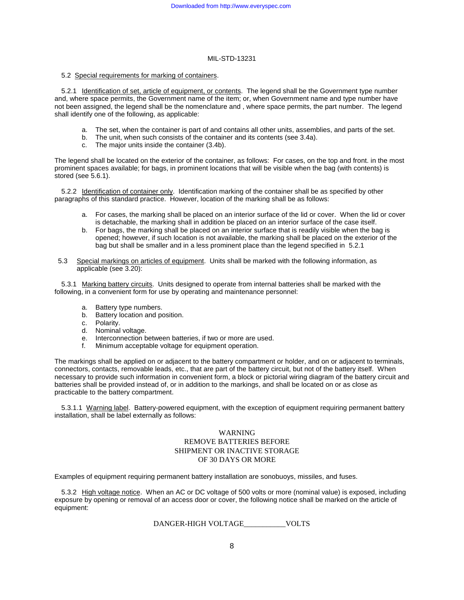#### 5.2 Special requirements for marking of containers.

5.2.1 Identification of set, article of equipment, or contents. The legend shall be the Government type number and, where space permits, the Government name of the item; or, when Government name and type number have not been assigned, the legend shall be the nomenclature and , where space permits, the part number. The legend shall identify one of the following, as applicable:

- a. The set, when the container is part of and contains all other units, assemblies, and parts of the set.
- b. The unit, when such consists of the container and its contents (see 3.4a).
- c. The major units inside the container (3.4b).

The legend shall be located on the exterior of the container, as follows: For cases, on the top and front. in the most prominent spaces available; for bags, in prominent locations that will be visible when the bag (with contents) is stored (see 5.6.1).

5.2.2 Identification of container only. Identification marking of the container shall be as specified by other paragraphs of this standard practice. However, location of the marking shall be as follows:

- a. For cases, the marking shall be placed on an interior surface of the lid or cover. When the lid or cover is detachable, the marking shall in addition be placed on an interior surface of the case itself.
- b. For bags, the marking shall be placed on an interior surface that is readily visible when the bag is opened; however, if such location is not available, the marking shall be placed on the exterior of the bag but shall be smaller and in a less prominent place than the legend specified in 5.2.1
- 5.3 Special markings on articles of equipment. Units shall be marked with the following information, as applicable (see 3.20):

5.3.1 Marking battery circuits. Units designed to operate from internal batteries shall be marked with the following, in a convenient form for use by operating and maintenance personnel:

- a. Battery type numbers.
- b. Battery location and position.
- c. Polarity.
- d. Nominal voltage.
- e. Interconnection between batteries, if two or more are used.
- f. Minimum acceptable voltage for equipment operation.

The markings shall be applied on or adjacent to the battery compartment or holder, and on or adjacent to terminals, connectors, contacts, removable leads, etc., that are part of the battery circuit, but not of the battery itself. When necessary to provide such information in convenient form, a block or pictorial wiring diagram of the battery circuit and batteries shall be provided instead of, or in addition to the markings, and shall be located on or as close as practicable to the battery compartment.

5.3.1.1 Warning label. Battery-powered equipment, with the exception of equipment requiring permanent battery installation, shall be label externally as follows:

# WARNING REMOVE BATTERIES BEFORE SHIPMENT OR INACTIVE STORAGE OF 30 DAYS OR MORE

Examples of equipment requiring permanent battery installation are sonobuoys, missiles, and fuses.

5.3.2 High voltage notice. When an AC or DC voltage of 500 volts or more (nominal value) is exposed, including exposure by opening or removal of an access door or cover, the following notice shall be marked on the article of equipment:

DANGER-HIGH VOLTAGE WOLTS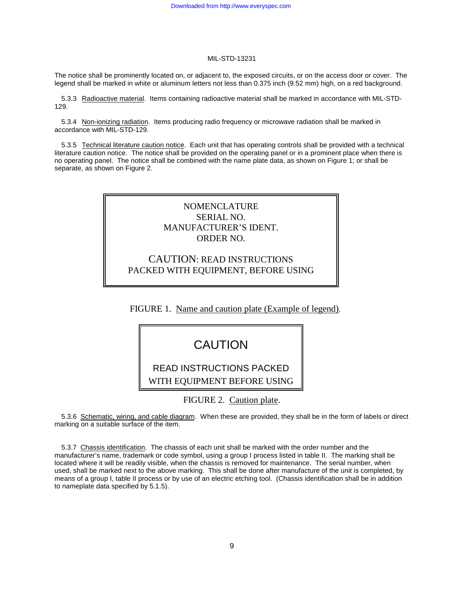The notice shall be prominently located on, or adjacent to, the exposed circuits, or on the access door or cover. The legend shall be marked in white or aluminum letters not less than 0.375 inch (9.52 mm) high, on a red background.

5.3.3 Radioactive material. Items containing radioactive material shall be marked in accordance with MIL-STD-129.

5.3.4 Non-ionizing radiation. Items producing radio frequency or microwave radiation shall be marked in accordance with MIL-STD-129.

5.3.5 Technical literature caution notice. Each unit that has operating controls shall be provided with a technical literature caution notice. The notice shall be provided on the operating panel or in a prominent place when there is no operating panel. The notice shall be combined with the name plate data, as shown on Figure 1; or shall be separate, as shown on Figure 2.



FIGURE 1. Name and caution plate (Example of legend).

# **CAUTION**

READ INSTRUCTIONS PACKED WITH EQUIPMENT BEFORE USING

FIGURE 2. Caution plate.

5.3.6 Schematic, wiring, and cable diagram. When these are provided, they shall be in the form of labels or direct marking on a suitable surface of the item.

5.3.7 Chassis identification. The chassis of each unit shall be marked with the order number and the manufacturer's name, trademark or code symbol, using a group I process listed in table II. The marking shall be located where it will be readily visible, when the chassis is removed for maintenance. The serial number, when used, shall be marked next to the above marking. This shall be done after manufacture of the unit is completed, by means of a group I, table II process or by use of an electric etching tool. (Chassis identification shall be in addition to nameplate data specified by 5.1.5).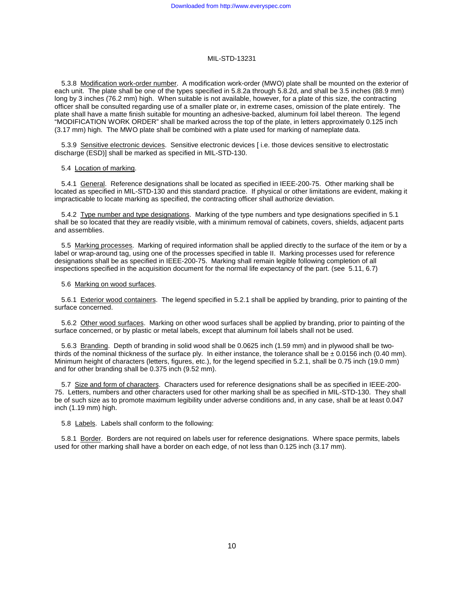5.3.8 Modification work-order number. A modification work-order (MWO) plate shall be mounted on the exterior of each unit. The plate shall be one of the types specified in 5.8.2a through 5.8.2d, and shall be 3.5 inches (88.9 mm) long by 3 inches (76.2 mm) high. When suitable is not available, however, for a plate of this size, the contracting officer shall be consulted regarding use of a smaller plate or, in extreme cases, omission of the plate entirely. The plate shall have a matte finish suitable for mounting an adhesive-backed, aluminum foil label thereon. The legend "MODIFICATION WORK ORDER" shall be marked across the top of the plate, in letters approximately 0.125 inch (3.17 mm) high. The MWO plate shall be combined with a plate used for marking of nameplate data.

5.3.9 Sensitive electronic devices. Sensitive electronic devices [ i.e. those devices sensitive to electrostatic discharge (ESD)] shall be marked as specified in MIL-STD-130.

5.4 Location of marking.

5.4.1 General. Reference designations shall be located as specified in IEEE-200-75. Other marking shall be located as specified in MIL-STD-130 and this standard practice. If physical or other limitations are evident, making it impracticable to locate marking as specified, the contracting officer shall authorize deviation.

5.4.2 Type number and type designations. Marking of the type numbers and type designations specified in 5.1 shall be so located that they are readily visible, with a minimum removal of cabinets, covers, shields, adjacent parts and assemblies.

5.5 Marking processes. Marking of required information shall be applied directly to the surface of the item or by a label or wrap-around tag, using one of the processes specified in table II. Marking processes used for reference designations shall be as specified in IEEE-200-75. Marking shall remain legible following completion of all inspections specified in the acquisition document for the normal life expectancy of the part. (see 5.11, 6.7)

5.6 Marking on wood surfaces.

5.6.1 Exterior wood containers. The legend specified in 5.2.1 shall be applied by branding, prior to painting of the surface concerned.

5.6.2 Other wood surfaces. Marking on other wood surfaces shall be applied by branding, prior to painting of the surface concerned, or by plastic or metal labels, except that aluminum foil labels shall not be used.

5.6.3 Branding. Depth of branding in solid wood shall be 0.0625 inch (1.59 mm) and in plywood shall be twothirds of the nominal thickness of the surface ply. In either instance, the tolerance shall be  $\pm$  0.0156 inch (0.40 mm). Minimum height of characters (letters, figures, etc.), for the legend specified in 5.2.1, shall be 0.75 inch (19.0 mm) and for other branding shall be 0.375 inch (9.52 mm).

5.7 Size and form of characters. Characters used for reference designations shall be as specified in IEEE-200- 75. Letters, numbers and other characters used for other marking shall be as specified in MIL-STD-130. They shall be of such size as to promote maximum legibility under adverse conditions and, in any case, shall be at least 0.047 inch (1.19 mm) high.

5.8 Labels. Labels shall conform to the following:

5.8.1 Border. Borders are not required on labels user for reference designations. Where space permits, labels used for other marking shall have a border on each edge, of not less than 0.125 inch (3.17 mm).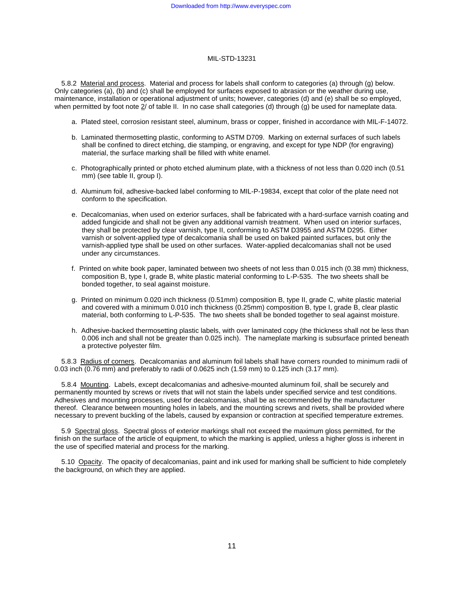5.8.2 Material and process. Material and process for labels shall conform to categories (a) through (g) below. Only categories (a), (b) and (c) shall be employed for surfaces exposed to abrasion or the weather during use, maintenance, installation or operational adjustment of units; however, categories (d) and (e) shall be so employed, when permitted by foot note 2/ of table II. In no case shall categories (d) through (g) be used for nameplate data.

- a. Plated steel, corrosion resistant steel, aluminum, brass or copper, finished in accordance with MIL-F-14072.
- b. Laminated thermosetting plastic, conforming to ASTM D709. Marking on external surfaces of such labels shall be confined to direct etching, die stamping, or engraving, and except for type NDP (for engraving) material, the surface marking shall be filled with white enamel.
- c. Photographically printed or photo etched aluminum plate, with a thickness of not less than 0.020 inch (0.51 mm) (see table II, group I).
- d. Aluminum foil, adhesive-backed label conforming to MIL-P-19834, except that color of the plate need not conform to the specification.
- e. Decalcomanias, when used on exterior surfaces, shall be fabricated with a hard-surface varnish coating and added fungicide and shall not be given any additional varnish treatment. When used on interior surfaces, they shall be protected by clear varnish, type II, conforming to ASTM D3955 and ASTM D295. Either varnish or solvent-applied type of decalcomania shall be used on baked painted surfaces, but only the varnish-applied type shall be used on other surfaces. Water-applied decalcomanias shall not be used under any circumstances.
- f. Printed on white book paper, laminated between two sheets of not less than 0.015 inch (0.38 mm) thickness, composition B, type I, grade B, white plastic material conforming to L-P-535. The two sheets shall be bonded together, to seal against moisture.
- g. Printed on minimum 0.020 inch thickness (0.51mm) composition B, type II, grade C, white plastic material and covered with a minimum 0.010 inch thickness (0.25mm) composition B, type I, grade B, clear plastic material, both conforming to L-P-535. The two sheets shall be bonded together to seal against moisture.
- h. Adhesive-backed thermosetting plastic labels, with over laminated copy (the thickness shall not be less than 0.006 inch and shall not be greater than 0.025 inch). The nameplate marking is subsurface printed beneath a protective polyester film.

5.8.3 Radius of corners. Decalcomanias and aluminum foil labels shall have corners rounded to minimum radii of 0.03 inch (0.76 mm) and preferably to radii of 0.0625 inch (1.59 mm) to 0.125 inch (3.17 mm).

5.8.4 Mounting. Labels, except decalcomanias and adhesive-mounted aluminum foil, shall be securely and permanently mounted by screws or rivets that will not stain the labels under specified service and test conditions. Adhesives and mounting processes, used for decalcomanias, shall be as recommended by the manufacturer thereof. Clearance between mounting holes in labels, and the mounting screws and rivets, shall be provided where necessary to prevent buckling of the labels, caused by expansion or contraction at specified temperature extremes.

5.9 Spectral gloss. Spectral gloss of exterior markings shall not exceed the maximum gloss permitted, for the finish on the surface of the article of equipment, to which the marking is applied, unless a higher gloss is inherent in the use of specified material and process for the marking.

5.10 Opacity. The opacity of decalcomanias, paint and ink used for marking shall be sufficient to hide completely the background, on which they are applied.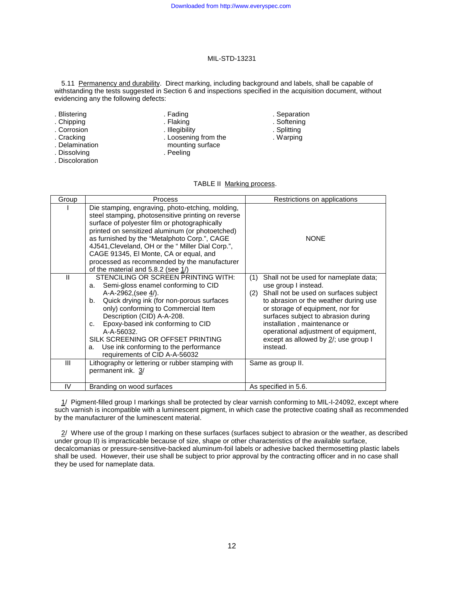5.11 Permanency and durability. Direct marking, including background and labels, shall be capable of withstanding the tests suggested in Section 6 and inspections specified in the acquisition document, without evidencing any the following defects:

mounting surface

- . Blistering ... Fading ... Fading ... Separation ... Separation ... Separation ... Separation ... Softening ...
- . Chipping . Tlaking . Flaking . Softening . Softening . Softening . Softening . Softening . Splitting . Splitting . Splitting . Splitting . Splitting . Splitting . Splitting . Splitting . Splitting . Splitting . Splitting
- 
- . Cracking . Loosening from the . Delamination . Loosening from the .
- . Dissolving **. Peeling** .
- . Discoloration

# TABLE II Marking process.

. Corrosion . Illegibility . Splitting

| Group | Process                                                                                                                                                                                                                                                                                                                                                                                                                                        | Restrictions on applications                                                                                                                                                                                                                                                                                                                                           |
|-------|------------------------------------------------------------------------------------------------------------------------------------------------------------------------------------------------------------------------------------------------------------------------------------------------------------------------------------------------------------------------------------------------------------------------------------------------|------------------------------------------------------------------------------------------------------------------------------------------------------------------------------------------------------------------------------------------------------------------------------------------------------------------------------------------------------------------------|
|       | Die stamping, engraving, photo-etching, molding,<br>steel stamping, photosensitive printing on reverse<br>surface of polyester film or photographically<br>printed on sensitized aluminum (or photoetched)<br>as furnished by the "Metalphoto Corp.", CAGE<br>4J541, Cleveland, OH or the "Miller Dial Corp.",<br>CAGE 91345, El Monte, CA or equal, and<br>processed as recommended by the manufacturer<br>of the material and 5.8.2 (see 1/) | <b>NONE</b>                                                                                                                                                                                                                                                                                                                                                            |
| Ш     | STENCILING OR SCREEN PRINTING WITH:<br>Semi-gloss enamel conforming to CID<br>a.<br>$A-A-2962$ , (see 4/).<br>Quick drying ink (for non-porous surfaces<br>b.<br>only) conforming to Commercial Item<br>Description (CID) A-A-208.<br>Epoxy-based ink conforming to CID<br>C <sub>1</sub><br>A-A-56032.<br>SILK SCREENING OR OFFSET PRINTING<br>Use ink conforming to the performance<br>a.<br>requirements of CID A-A-56032                   | Shall not be used for nameplate data;<br>(1)<br>use group I instead.<br>Shall not be used on surfaces subject<br>(2)<br>to abrasion or the weather during use<br>or storage of equipment, nor for<br>surfaces subject to abrasion during<br>installation, maintenance or<br>operational adjustment of equipment,<br>except as allowed by $2$ ; use group I<br>instead. |
| Ш     | Lithography or lettering or rubber stamping with<br>permanent ink. 3/                                                                                                                                                                                                                                                                                                                                                                          | Same as group II.                                                                                                                                                                                                                                                                                                                                                      |
| IV    | Branding on wood surfaces                                                                                                                                                                                                                                                                                                                                                                                                                      | As specified in 5.6.                                                                                                                                                                                                                                                                                                                                                   |

1/ Pigment-filled group I markings shall be protected by clear varnish conforming to MIL-I-24092, except where such varnish is incompatible with a luminescent pigment, in which case the protective coating shall as recommended by the manufacturer of the luminescent material.

2/ Where use of the group I marking on these surfaces (surfaces subject to abrasion or the weather, as described under group II) is impracticable because of size, shape or other characteristics of the available surface, decalcomanias or pressure-sensitive-backed aluminum-foil labels or adhesive backed thermosetting plastic labels shall be used. However, their use shall be subject to prior approval by the contracting officer and in no case shall they be used for nameplate data.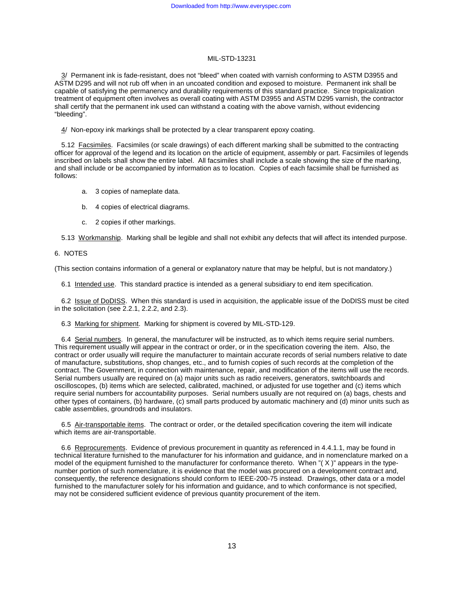3/ Permanent ink is fade-resistant, does not "bleed" when coated with varnish conforming to ASTM D3955 and ASTM D295 and will not rub off when in an uncoated condition and exposed to moisture. Permanent ink shall be capable of satisfying the permanency and durability requirements of this standard practice. Since tropicalization treatment of equipment often involves as overall coating with ASTM D3955 and ASTM D295 varnish, the contractor shall certify that the permanent ink used can withstand a coating with the above varnish, without evidencing "bleeding".

4/ Non-epoxy ink markings shall be protected by a clear transparent epoxy coating.

5.12 Facsimiles. Facsimiles (or scale drawings) of each different marking shall be submitted to the contracting officer for approval of the legend and its location on the article of equipment, assembly or part. Facsimiles of legends inscribed on labels shall show the entire label. All facsimiles shall include a scale showing the size of the marking, and shall include or be accompanied by information as to location. Copies of each facsimile shall be furnished as follows:

- a. 3 copies of nameplate data.
- b. 4 copies of electrical diagrams.
- c. 2 copies if other markings.

5.13 Workmanship. Marking shall be legible and shall not exhibit any defects that will affect its intended purpose.

#### 6. NOTES

(This section contains information of a general or explanatory nature that may be helpful, but is not mandatory.)

6.1 Intended use. This standard practice is intended as a general subsidiary to end item specification.

6.2 Issue of DoDISS. When this standard is used in acquisition, the applicable issue of the DoDISS must be cited in the solicitation (see 2.2.1, 2.2.2, and 2.3).

6.3 Marking for shipment. Marking for shipment is covered by MIL-STD-129.

6.4 Serial numbers. In general, the manufacturer will be instructed, as to which items require serial numbers. This requirement usually will appear in the contract or order, or in the specification covering the item. Also, the contract or order usually will require the manufacturer to maintain accurate records of serial numbers relative to date of manufacture, substitutions, shop changes, etc., and to furnish copies of such records at the completion of the contract. The Government, in connection with maintenance, repair, and modification of the items will use the records. Serial numbers usually are required on (a) major units such as radio receivers, generators, switchboards and oscilloscopes, (b) items which are selected, calibrated, machined, or adjusted for use together and (c) items which require serial numbers for accountability purposes. Serial numbers usually are not required on (a) bags, chests and other types of containers, (b) hardware, (c) small parts produced by automatic machinery and (d) minor units such as cable assemblies, groundrods and insulators.

6.5 Air-transportable items. The contract or order, or the detailed specification covering the item will indicate which items are air-transportable.

6.6 Reprocurements. Evidence of previous procurement in quantity as referenced in 4.4.1.1, may be found in technical literature furnished to the manufacturer for his information and guidance, and in nomenclature marked on a model of the equipment furnished to the manufacturer for conformance thereto. When "( X )" appears in the typenumber portion of such nomenclature, it is evidence that the model was procured on a development contract and, consequently, the reference designations should conform to IEEE-200-75 instead. Drawings, other data or a model furnished to the manufacturer solely for his information and guidance, and to which conformance is not specified, may not be considered sufficient evidence of previous quantity procurement of the item.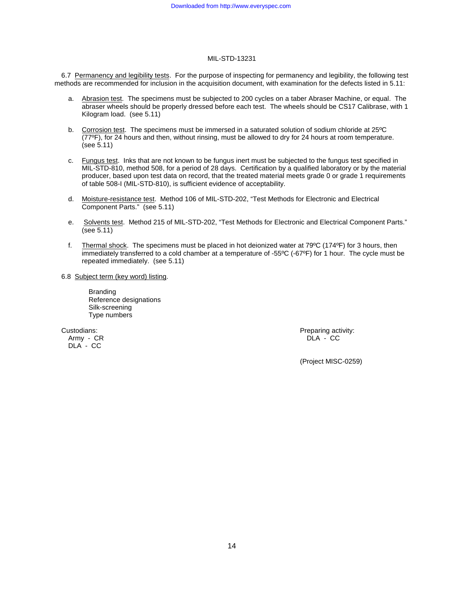6.7 Permanency and legibility tests. For the purpose of inspecting for permanency and legibility, the following test methods are recommended for inclusion in the acquisition document, with examination for the defects listed in 5.11:

- a. Abrasion test. The specimens must be subjected to 200 cycles on a taber Abraser Machine, or equal. The abraser wheels should be properly dressed before each test. The wheels should be CS17 Calibrase, with 1 Kilogram load. (see 5.11)
- b. Corrosion test. The specimens must be immersed in a saturated solution of sodium chloride at 25°C (77ºF), for 24 hours and then, without rinsing, must be allowed to dry for 24 hours at room temperature. (see 5.11)
- c. Fungus test. Inks that are not known to be fungus inert must be subjected to the fungus test specified in MIL-STD-810, method 508, for a period of 28 days. Certification by a qualified laboratory or by the material producer, based upon test data on record, that the treated material meets grade 0 or grade 1 requirements of table 508-I (MIL-STD-810), is sufficient evidence of acceptability.
- d. Moisture-resistance test. Method 106 of MIL-STD-202, "Test Methods for Electronic and Electrical Component Parts." (see 5.11)
- e. Solvents test. Method 215 of MIL-STD-202, "Test Methods for Electronic and Electrical Component Parts." (see 5.11)
- f. Thermal shock. The specimens must be placed in hot deionized water at 79°C (174°F) for 3 hours, then immediately transferred to a cold chamber at a temperature of -55ºC (-67ºF) for 1 hour. The cycle must be repeated immediately. (see 5.11)
- 6.8 Subject term (key word) listing.

Branding Reference designations Silk-screening Type numbers

Army - CR DLA - CC

Custodians: Preparing activity: Preparing activity: Preparing activity: Preparing activity: Preparing activity: Preparing activity: Preparing activity: Preparing activity: PLA - CC

(Project MISC-0259)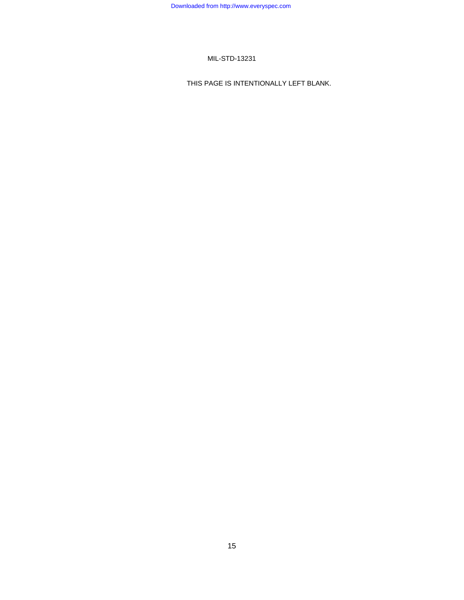THIS PAGE IS INTENTIONALLY LEFT BLANK.